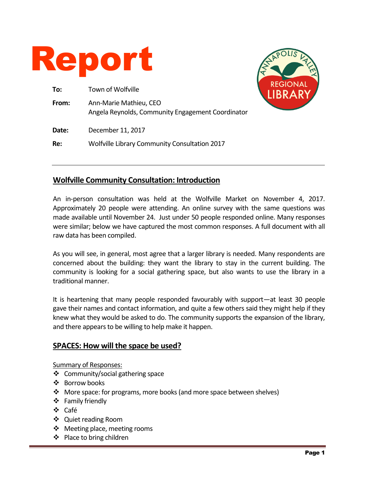

| To:   | Town of Wolfville                                                           |
|-------|-----------------------------------------------------------------------------|
| From: | Ann-Marie Mathieu, CEO<br>Angela Reynolds, Community Engagement Coordinator |
| Date: | December 11, 2017                                                           |
| Re:   | <b>Wolfville Library Community Consultation 2017</b>                        |



### **Wolfville Community Consultation: Introduction**

An in-person consultation was held at the Wolfville Market on November 4, 2017. Approximately 20 people were attending. An online survey with the same questions was made available until November 24. Just under 50 people responded online. Many responses were similar; below we have captured the most common responses. A full document with all raw data has been compiled.

As you will see, in general, most agree that a larger library is needed. Many respondents are concerned about the building: they want the library to stay in the current building. The community is looking for a social gathering space, but also wants to use the library in a traditional manner.

It is heartening that many people responded favourably with support—at least 30 people gave their names and contact information, and quite a few others said they might help if they knew what they would be asked to do. The community supports the expansion of the library, and there appears to be willing to help make it happen.

### **SPACES: How will the space be used?**

Summary of Responses:

- Community/social gathering space
- ❖ Borrow books
- More space: for programs, more books (and more space between shelves)
- **❖** Family friendly
- Café
- Quiet reading Room
- ❖ Meeting place, meeting rooms
- ❖ Place to bring children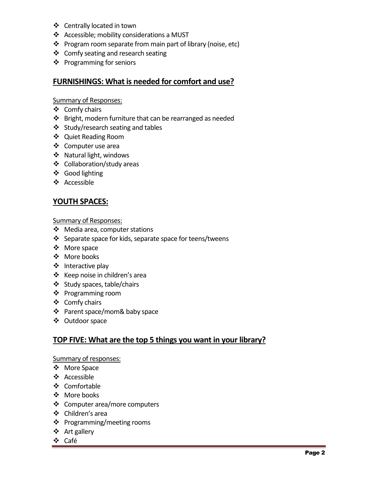- Centrally located in town
- ❖ Accessible; mobility considerations a MUST
- ❖ Program room separate from main part of library (noise, etc)
- ❖ Comfy seating and research seating
- ❖ Programming for seniors

### **FURNISHINGS: What is needed for comfort and use?**

#### Summary of Responses:

- $\div$  Comfy chairs
- ❖ Bright, modern furniture that can be rearranged as needed
- ❖ Study/research seating and tables
- Quiet Reading Room
- ❖ Computer use area
- ❖ Natural light, windows
- Collaboration/study areas
- Good lighting
- Accessible

### **YOUTH SPACES:**

#### Summary of Responses:

- Media area, computer stations
- $\div$  Separate space for kids, separate space for teens/tweens
- ❖ More space
- ❖ More books
- $\div$  Interactive play
- ❖ Keep noise in children's area
- Study spaces, table/chairs
- ❖ Programming room
- ❖ Comfy chairs
- Parent space/mom& baby space
- Outdoor space

## **TOP FIVE: What are the top 5 things you want in your library?**

#### Summary of responses:

- More Space
- ❖ Accessible
- ❖ Comfortable
- ❖ More books
- Computer area/more computers
- Children's area
- ❖ Programming/meeting rooms
- ❖ Art gallery
- Café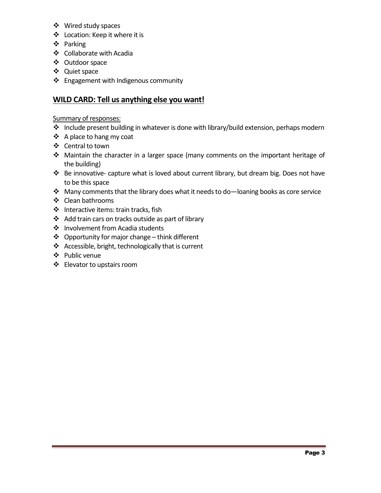- Wired study spaces
- Location: Keep it where it is
- ❖ Parking
- Collaborate with Acadia
- Outdoor space
- Quiet space
- ❖ Engagement with Indigenous community

## **WILD CARD: Tell us anything else you want!**

#### Summary of responses:

- Include present building in whatever is done with library/build extension, perhaps modern
- ❖ A place to hang my coat
- ❖ Central to town
- Maintain the character in a larger space (many comments on the important heritage of the building)
- Be innovative- capture what is loved about current library, but dream big. Does not have to be this space
- $\cdot$  Many comments that the library does what it needs to do-loaning books as core service
- Clean bathrooms
- $\triangleleft$  Interactive items: train tracks, fish
- Add train cars on tracks outside as part of library
- ❖ Involvement from Acadia students
- $\triangleleft$  Opportunity for major change think different
- ❖ Accessible, bright, technologically that is current
- Public venue
- Elevator to upstairs room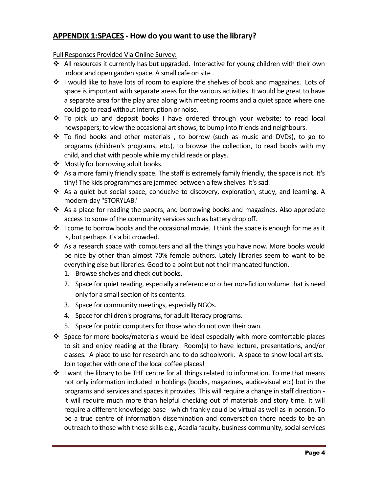## **APPENDIX 1:SPACES - How do you want to use the library?**

- $\clubsuit$  All resources it currently has but upgraded. Interactive for young children with their own indoor and open garden space. A small cafe on site .
- ◆ I would like to have lots of room to explore the shelves of book and magazines. Lots of space is important with separate areas for the various activities. It would be great to have a separate area for the play area along with meeting rooms and a quiet space where one could go to read without interruption or noise.
- To pick up and deposit books I have ordered through your website; to read local newspapers; to view the occasional art shows; to bump into friends and neighbours.
- \* To find books and other materials, to borrow (such as music and DVDs), to go to programs (children's programs, etc.), to browse the collection, to read books with my child, and chat with people while my child reads or plays.
- ❖ Mostly for borrowing adult books.
- $\clubsuit$  As a more family friendly space. The staff is extremely family friendly, the space is not. It's tiny! The kids programmes are jammed between a few shelves. It's sad.
- \* As a quiet but social space, conducive to discovery, exploration, study, and learning. A modern-day "STORYLAB."
- $\triangle$  As a place for reading the papers, and borrowing books and magazines. Also appreciate access to some of the community services such as battery drop off.
- $\clubsuit$  I come to borrow books and the occasional movie. I think the space is enough for me as it is, but perhaps it's a bit crowded.
- As a research space with computers and all the things you have now. More books would be nice by other than almost 70% female authors. Lately libraries seem to want to be everything else but libraries. Good to a point but not their mandated function.
	- 1. Browse shelves and check out books.
	- 2. Space for quiet reading, especially a reference or other non-fiction volume that is need only for a small section of its contents.
	- 3. Space for community meetings, especially NGOs.
	- 4. Space for children's programs, for adult literacy programs.
	- 5. Space for public computers for those who do not own their own.
- $\div$  Space for more books/materials would be ideal especially with more comfortable places to sit and enjoy reading at the library. Room(s) to have lecture, presentations, and/or classes. A place to use for research and to do schoolwork. A space to show local artists. Join together with one of the local coffee places!
- ◆ I want the library to be THE centre for all things related to information. To me that means not only information included in holdings (books, magazines, audio-visual etc) but in the programs and services and spaces it provides. This will require a change in staff direction it will require much more than helpful checking out of materials and story time. It will require a different knowledge base - which frankly could be virtual as well as in person. To be a true centre of information dissemination and conversation there needs to be an outreach to those with these skills e.g., Acadia faculty, business community, social services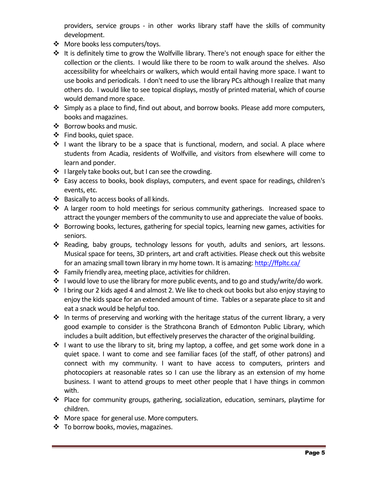providers, service groups - in other works library staff have the skills of community development.

- More books less computers/toys.
- $*$  It is definitely time to grow the Wolfville library. There's not enough space for either the collection or the clients. I would like there to be room to walk around the shelves. Also accessibility for wheelchairs or walkers, which would entail having more space. I want to use books and periodicals. I don't need to use the library PCs although I realize that many others do. I would like to see topical displays, mostly of printed material, which of course would demand more space.
- Simply as a place to find, find out about, and borrow books. Please add more computers, books and magazines.
- ❖ Borrow books and music.
- ❖ Find books, quiet space.
- \* I want the library to be a space that is functional, modern, and social. A place where students from Acadia, residents of Wolfville, and visitors from elsewhere will come to learn and ponder.
- $\cdot \cdot$  I largely take books out, but I can see the crowding.
- Easy access to books, book displays, computers, and event space for readings, children's events, etc.
- ❖ Basically to access books of all kinds.
- $\div$  A larger room to hold meetings for serious community gatherings. Increased space to attract the younger members of the community to use and appreciate the value of books.
- Borrowing books, lectures, gathering for special topics, learning new games, activities for seniors.
- $\div$  Reading, baby groups, technology lessons for youth, adults and seniors, art lessons. Musical space for teens, 3D printers, art and craft activities. Please check out this website for an amazing small town library in my home town. It is amazing[: http://ffpltc.ca/](http://ffpltc.ca/)
- $\cdot \cdot$  Family friendly area, meeting place, activities for children.
- ◆ I would love to use the library for more public events, and to go and study/write/do work.
- $\cdot \cdot$  I bring our 2 kids aged 4 and almost 2. We like to check out books but also enjoy staying to enjoy the kids space for an extended amount of time. Tables or a separate place to sit and eat a snack would be helpful too.
- $\cdot$  In terms of preserving and working with the heritage status of the current library, a very good example to consider is the Strathcona Branch of Edmonton Public Library, which includes a built addition, but effectively preserves the character of the original building.
- $\cdot$  I want to use the library to sit, bring my laptop, a coffee, and get some work done in a quiet space. I want to come and see familiar faces (of the staff, of other patrons) and connect with my community. I want to have access to computers, printers and photocopiers at reasonable rates so I can use the library as an extension of my home business. I want to attend groups to meet other people that I have things in common with.
- $\div$  Place for community groups, gathering, socialization, education, seminars, playtime for children.
- More space for general use. More computers.
- ❖ To borrow books, movies, magazines.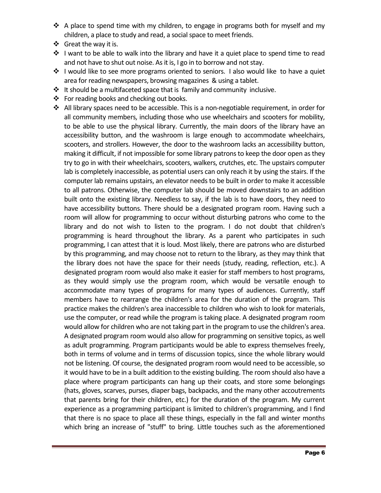- $\div$  A place to spend time with my children, to engage in programs both for myself and my children, a place to study and read, a social space to meet friends.
- ❖ Great the way it is.
- $\div$  I want to be able to walk into the library and have it a quiet place to spend time to read and not have to shut out noise. As it is, I go in to borrow and not stay.
- ❖ I would like to see more programs oriented to seniors. I also would like to have a quiet area for reading newspapers, browsing magazines & using a tablet.
- $\triangleq$  It should be a multifaceted space that is family and community inclusive.
- ❖ For reading books and checking out books.
- All library spaces need to be accessible. This is a non-negotiable requirement, in order for all community members, including those who use wheelchairs and scooters for mobility, to be able to use the physical library. Currently, the main doors of the library have an accessibility button, and the washroom is large enough to accommodate wheelchairs, scooters, and strollers. However, the door to the washroom lacks an accessibility button, making it difficult, if not impossible for some library patrons to keep the door open as they try to go in with their wheelchairs, scooters, walkers, crutches, etc. The upstairs computer lab is completely inaccessible, as potential users can only reach it by using the stairs. If the computer lab remains upstairs, an elevator needs to be built in order to make it accessible to all patrons. Otherwise, the computer lab should be moved downstairs to an addition built onto the existing library. Needless to say, if the lab is to have doors, they need to have accessibility buttons. There should be a designated program room. Having such a room will allow for programming to occur without disturbing patrons who come to the library and do not wish to listen to the program. I do not doubt that children's programming is heard throughout the library. As a parent who participates in such programming, I can attest that it is loud. Most likely, there are patrons who are disturbed by this programming, and may choose not to return to the library, as they may think that the library does not have the space for their needs (study, reading, reflection, etc.). A designated program room would also make it easier for staff members to host programs, as they would simply use the program room, which would be versatile enough to accommodate many types of programs for many types of audiences. Currently, staff members have to rearrange the children's area for the duration of the program. This practice makes the children's area inaccessible to children who wish to look for materials, use the computer, or read while the program is taking place. A designated program room would allow for children who are not taking part in the program to use the children's area. A designated program room would also allow for programming on sensitive topics, as well as adult programming. Program participants would be able to express themselves freely, both in terms of volume and in terms of discussion topics, since the whole library would not be listening. Of course, the designated program room would need to be accessible, so it would have to be in a built addition to the existing building. The room should also have a place where program participants can hang up their coats, and store some belongings (hats, gloves, scarves, purses, diaper bags, backpacks, and the many other accoutrements that parents bring for their children, etc.) for the duration of the program. My current experience as a programming participant is limited to children's programming, and I find that there is no space to place all these things, especially in the fall and winter months which bring an increase of "stuff" to bring. Little touches such as the aforementioned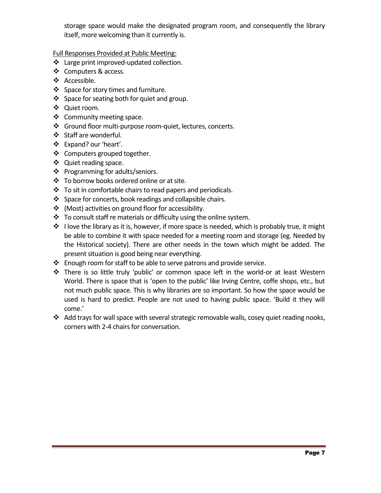storage space would make the designated program room, and consequently the library itself, more welcoming than it currently is.

Full Responses Provided at Public Meeting:

- \* Large print improved-updated collection.
- ❖ Computers & access.
- ❖ Accessible.
- ❖ Space for story times and furniture.
- ❖ Space for seating both for quiet and group.
- Quiet room.
- ❖ Community meeting space.
- Ground floor multi-purpose room-quiet, lectures, concerts.
- Staff are wonderful.
- Expand? our 'heart'.
- ❖ Computers grouped together.
- ❖ Quiet reading space.
- ❖ Programming for adults/seniors.
- ❖ To borrow books ordered online or at site.
- $\cdot \cdot$  To sit in comfortable chairs to read papers and periodicals.
- $\cdot$  Space for concerts, book readings and collapsible chairs.
- (Most) activities on ground floor for accessibility.
- $\div$  To consult staff re materials or difficulty using the online system.
- $\cdot$  I love the library as it is, however, if more space is needed, which is probably true, it might be able to combine it with space needed for a meeting room and storage (eg. Needed by the Historical society). There are other needs in the town which might be added. The present situation is good being near everything.
- $\cdot$  Enough room for staff to be able to serve patrons and provide service.
- There is so little truly 'public' or common space left in the world-or at least Western World. There is space that is 'open to the public' like Irving Centre, coffe shops, etc., but not much public space. This is why libraries are so important. So how the space would be used is hard to predict. People are not used to having public space. 'Build it they will come.'
- Add trays for wall space with several strategic removable walls, cosey quiet reading nooks, corners with 2-4 chairs for conversation.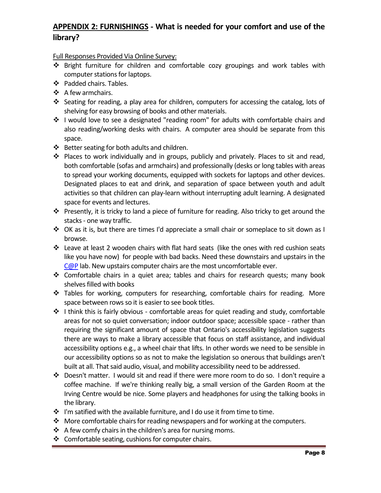# **APPENDIX 2: FURNISHINGS - What is needed for your comfort and use of the library?**

- Bright furniture for children and comfortable cozy groupings and work tables with computer stations for laptops.
- ❖ Padded chairs. Tables.
- ❖ A few armchairs.
- Seating for reading, a play area for children, computers for accessing the catalog, lots of shelving for easy browsing of books and other materials.
- \* I would love to see a designated "reading room" for adults with comfortable chairs and also reading/working desks with chairs. A computer area should be separate from this space.
- ❖ Better seating for both adults and children.
- Places to work individually and in groups, publicly and privately. Places to sit and read, both comfortable (sofas and armchairs) and professionally (desks or long tables with areas to spread your working documents, equipped with sockets for laptops and other devices. Designated places to eat and drink, and separation of space between youth and adult activities so that children can play-learn without interrupting adult learning. A designated space for events and lectures.
- Presently, it is tricky to land a piece of furniture for reading. Also tricky to get around the stacks - one way traffic.
- $\div$  OK as it is, but there are times I'd appreciate a small chair or someplace to sit down as I browse.
- Leave at least 2 wooden chairs with flat hard seats (like the ones with red cushion seats like you have now) for people with bad backs. Need these downstairs and upstairs in the [C@P](http://webmail.library.ns.ca/imp/dynamic.php?page=mailbox) lab. New upstairs computer chairs are the most uncomfortable ever.
- Comfortable chairs in a quiet area; tables and chairs for research quests; many book shelves filled with books
- \* Tables for working, computers for researching, comfortable chairs for reading. More space between rows so it is easier to see book titles.
- ❖ I think this is fairly obvious comfortable areas for quiet reading and study, comfortable areas for not so quiet conversation; indoor outdoor space; accessible space - rather than requiring the significant amount of space that Ontario's accessibility legislation suggests there are ways to make a library accessible that focus on staff assistance, and individual accessibility options e.g., a wheel chair that lifts. In other words we need to be sensible in our accessibility options so as not to make the legislation so onerous that buildings aren't built at all. That said audio, visual, and mobility accessibility need to be addressed.
- Doesn't matter. I would sit and read if there were more room to do so. I don't require a coffee machine. If we're thinking really big, a small version of the Garden Room at the Irving Centre would be nice. Some players and headphones for using the talking books in the library.
- $\mathbf{\hat{P}}$  I'm satified with the available furniture, and I do use it from time to time.
- ◆ More comfortable chairs for reading newspapers and for working at the computers.
- $\triangle$  A few comfy chairs in the children's area for nursing moms.
- $\triangleleft$  Comfortable seating, cushions for computer chairs.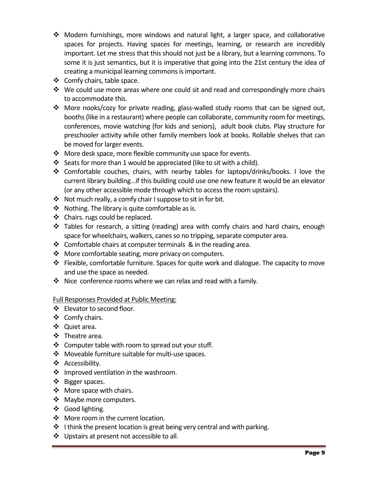- $\div$  Modern furnishings, more windows and natural light, a larger space, and collaborative spaces for projects. Having spaces for meetings, learning, or research are incredibly important. Let me stress that this should not just be a library, but a learning commons. To some it is just semantics, but it is imperative that going into the 21st century the idea of creating a municipal learning commons is important.
- $\clubsuit$  Comfy chairs, table space.
- $\cdot \cdot$  We could use more areas where one could sit and read and correspondingly more chairs to accommodate this.
- More nooks/cozy for private reading, glass-walled study rooms that can be signed out, booths (like in a restaurant) where people can collaborate, community room for meetings, conferences, movie watching (for kids and seniors), adult book clubs. Play structure for preschooler activity while other family members look at books. Rollable shelves that can be moved for larger events.
- More desk space, more flexible community use space for events.
- Seats for more than 1 would be appreciated (like to sit with a child).
- Comfortable couches, chairs, with nearby tables for laptops/drinks/books. I love the current library building...if this building could use one new feature it would be an elevator (or any other accessible mode through which to access the room upstairs).
- $\mathbf{\hat{P}}$  Not much really, a comfy chair I suppose to sit in for bit.
- $\triangleleft$  Nothing. The library is quite comfortable as is.
- ❖ Chairs. rugs could be replaced.
- Tables for research, a sitting (reading) area with comfy chairs and hard chairs, enough space for wheelchairs, walkers, canes so no tripping, separate computer area.
- $\div$  Comfortable chairs at computer terminals & in the reading area.
- $\cdot$  More comfortable seating, more privacy on computers.
- $\div$  Flexible, comfortable furniture. Spaces for quite work and dialogue. The capacity to move and use the space as needed.
- $\div$  Nice conference rooms where we can relax and read with a family.

#### Full Responses Provided at Public Meeting:

- ❖ Elevator to second floor.
- $\div$  Comfy chairs.
- ❖ Quiet area.
- Theatre area.
- $\triangleleft$  Computer table with room to spread out your stuff.
- Moveable furniture suitable for multi-use spaces.
- Accessibility.
- $\cdot$  Improved ventilation in the washroom.
- ❖ Bigger spaces.
- ❖ More space with chairs.
- ❖ Maybe more computers.
- Good lighting.
- More room in the current location.
- $\cdot$  I think the present location is great being very central and with parking.
- ❖ Upstairs at present not accessible to all.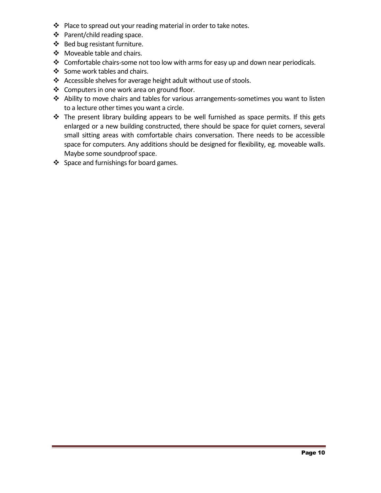- ❖ Place to spread out your reading material in order to take notes.
- Parent/child reading space.
- ❖ Bed bug resistant furniture.
- ❖ Moveable table and chairs.
- \* Comfortable chairs-some not too low with arms for easy up and down near periodicals.
- Some work tables and chairs.
- \* Accessible shelves for average height adult without use of stools.
- ❖ Computers in one work area on ground floor.
- Ability to move chairs and tables for various arrangements-sometimes you want to listen to a lecture other times you want a circle.
- \* The present library building appears to be well furnished as space permits. If this gets enlarged or a new building constructed, there should be space for quiet corners, several small sitting areas with comfortable chairs conversation. There needs to be accessible space for computers. Any additions should be designed for flexibility, eg. moveable walls. Maybe some soundproof space.
- $\div$  Space and furnishings for board games.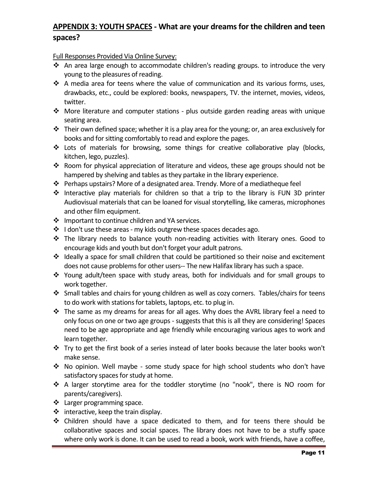# **APPENDIX 3: YOUTH SPACES - What are your dreams for the children and teen spaces?**

- \* An area large enough to accommodate children's reading groups. to introduce the very young to the pleasures of reading.
- $\triangleleft$  A media area for teens where the value of communication and its various forms, uses, drawbacks, etc., could be explored: books, newspapers, TV. the internet, movies, videos, twitter.
- More literature and computer stations plus outside garden reading areas with unique seating area.
- $\cdot \cdot$  Their own defined space; whether it is a play area for the young; or, an area exclusively for books and for sitting comfortably to read and explore the pages.
- Lots of materials for browsing, some things for creative collaborative play (blocks, kitchen, lego, puzzles).
- \* Room for physical appreciation of literature and videos, these age groups should not be hampered by shelving and tables as they partake in the library experience.
- Perhaps upstairs? More of a designated area. Trendy. More of a mediatheque feel
- $\cdot$  Interactive play materials for children so that a trip to the library is FUN 3D printer Audiovisual materials that can be loaned for visual storytelling, like cameras, microphones and other film equipment.
- ❖ Important to continue children and YA services.
- $\div$  I don't use these areas my kids outgrew these spaces decades ago.
- \* The library needs to balance youth non-reading activities with literary ones. Good to encourage kids and youth but don't forget your adult patrons.
- \* Ideally a space for small children that could be partitioned so their noise and excitement does not cause problems for other users-- The new Halifax library has such a space.
- \* Young adult/teen space with study areas, both for individuals and for small groups to work together.
- $\div$  Small tables and chairs for young children as well as cozy corners. Tables/chairs for teens to do work with stations for tablets, laptops, etc. to plug in.
- \* The same as my dreams for areas for all ages. Why does the AVRL library feel a need to only focus on one or two age groups - suggests that this is all they are considering! Spaces need to be age appropriate and age friendly while encouraging various ages to work and learn together.
- $\cdot \cdot$  Try to get the first book of a series instead of later books because the later books won't make sense.
- \* No opinion. Well maybe some study space for high school students who don't have satisfactory spaces for study at home.
- A larger storytime area for the toddler storytime (no "nook", there is NO room for parents/caregivers).
- ❖ Larger programming space.
- $\div$  interactive, keep the train display.
- Children should have a space dedicated to them, and for teens there should be collaborative spaces and social spaces. The library does not have to be a stuffy space where only work is done. It can be used to read a book, work with friends, have a coffee,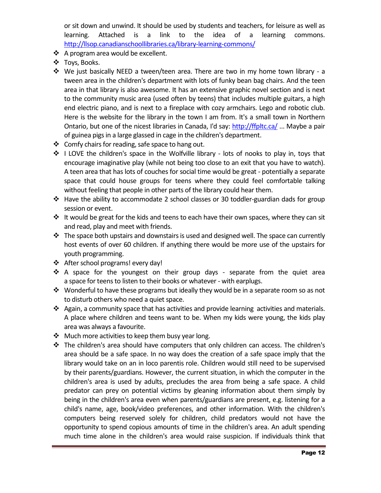or sit down and unwind. It should be used by students and teachers, for leisure as well as learning. Attached is a link to the idea of a learning commons. <http://llsop.canadianschoollibraries.ca/library-learning-commons/>

- ❖ A program area would be excellent.
- Toys, Books.
- We just basically NEED a tween/teen area. There are two in my home town library a tween area in the children's department with lots of funky bean bag chairs. And the teen area in that library is also awesome. It has an extensive graphic novel section and is next to the community music area (used often by teens) that includes multiple guitars, a high end electric piano, and is next to a fireplace with cozy armchairs. Lego and robotic club. Here is the website for the library in the town I am from. It's a small town in Northern Ontario, but one of the nicest libraries in Canada, I'd say: <http://ffpltc.ca/> ... Maybe a pair of guinea pigs in a large glassed in cage in the children's department.
- ❖ Comfy chairs for reading, safe space to hang out.
- ◆ I LOVE the children's space in the Wolfville library lots of nooks to play in, toys that encourage imaginative play (while not being too close to an exit that you have to watch). A teen area that has lots of couches for social time would be great - potentially a separate space that could house groups for teens where they could feel comfortable talking without feeling that people in other parts of the library could hear them.
- Have the ability to accommodate 2 school classes or 30 toddler-guardian dads for group session or event.
- \* It would be great for the kids and teens to each have their own spaces, where they can sit and read, play and meet with friends.
- $\cdot \cdot$  The space both upstairs and downstairs is used and designed well. The space can currently host events of over 60 children. If anything there would be more use of the upstairs for youth programming.
- ❖ After school programs! every day!
- $\div$  A space for the youngest on their group days separate from the quiet area a space for teens to listen to their books or whatever - with earplugs.
- \* Wonderful to have these programs but ideally they would be in a separate room so as not to disturb others who need a quiet space.
- $\clubsuit$  Again, a community space that has activities and provide learning activities and materials. A place where children and teens want to be. When my kids were young, the kids play area was always a favourite.
- $\cdot$  Much more activities to keep them busy year long.
- \* The children's area should have computers that only children can access. The children's area should be a safe space. In no way does the creation of a safe space imply that the library would take on an in loco parentis role. Children would still need to be supervised by their parents/guardians. However, the current situation, in which the computer in the children's area is used by adults, precludes the area from being a safe space. A child predator can prey on potential victims by gleaning information about them simply by being in the children's area even when parents/guardians are present, e.g. listening for a child's name, age, book/video preferences, and other information. With the children's computers being reserved solely for children, child predators would not have the opportunity to spend copious amounts of time in the children's area. An adult spending much time alone in the children's area would raise suspicion. If individuals think that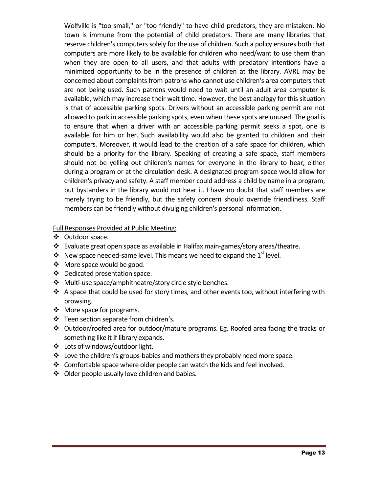Wolfville is "too small," or "too friendly" to have child predators, they are mistaken. No town is immune from the potential of child predators. There are many libraries that reserve children's computers solely for the use of children. Such a policy ensures both that computers are more likely to be available for children who need/want to use them than when they are open to all users, and that adults with predatory intentions have a minimized opportunity to be in the presence of children at the library. AVRL may be concerned about complaints from patrons who cannot use children's area computers that are not being used. Such patrons would need to wait until an adult area computer is available, which may increase their wait time. However, the best analogy for this situation is that of accessible parking spots. Drivers without an accessible parking permit are not allowed to park in accessible parking spots, even when these spots are unused. The goal is to ensure that when a driver with an accessible parking permit seeks a spot, one is available for him or her. Such availability would also be granted to children and their computers. Moreover, it would lead to the creation of a safe space for children, which should be a priority for the library. Speaking of creating a safe space, staff members should not be yelling out children's names for everyone in the library to hear, either during a program or at the circulation desk. A designated program space would allow for children's privacy and safety. A staff member could address a child by name in a program, but bystanders in the library would not hear it. I have no doubt that staff members are merely trying to be friendly, but the safety concern should override friendliness. Staff members can be friendly without divulging children's personal information.

Full Responses Provided at Public Meeting:

- Outdoor space.
- Evaluate great open space as available in Halifax main-games/story areas/theatre.
- New space needed-same level. This means we need to expand the 1<sup>st</sup> level.
- More space would be good.
- Dedicated presentation space.
- ❖ Multi-use space/amphitheatre/story circle style benches.
- \* A space that could be used for story times, and other events too, without interfering with browsing.
- More space for programs.
- Teen section separate from children's.
- Outdoor/roofed area for outdoor/mature programs. Eg. Roofed area facing the tracks or something like it if library expands.
- Lots of windows/outdoor light.
- Love the children's groups-babies and mothers they probably need more space.
- Comfortable space where older people can watch the kids and feel involved.
- ❖ Older people usually love children and babies.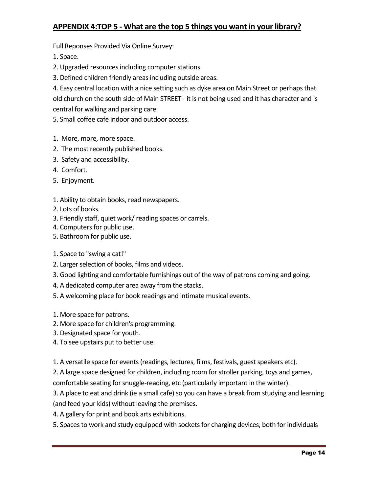# **APPENDIX 4:TOP 5 - What are the top 5 things you want in your library?**

Full Reponses Provided Via Online Survey:

1. Space.

- 2. Upgraded resources including computer stations.
- 3. Defined children friendly areas including outside areas.

4. Easy central location with a nice setting such as dyke area on Main Street or perhaps that old church on the south side of Main STREET- it is not being used and it has character and is central for walking and parking care.

5. Small coffee cafe indoor and outdoor access.

- 1. More, more, more space.
- 2. The most recently published books.
- 3. Safety and accessibility.
- 4. Comfort.
- 5. Enjoyment.
- 1. Ability to obtain books, read newspapers.
- 2. Lots of books.
- 3. Friendly staff, quiet work/ reading spaces or carrels.
- 4. Computers for public use.
- 5. Bathroom for public use.
- 1. Space to "swing a cat!"
- 2. Larger selection of books, films and videos.
- 3. Good lighting and comfortable furnishings out of the way of patrons coming and going.
- 4. A dedicated computer area away from the stacks.
- 5. A welcoming place for book readings and intimate musical events.
- 1. More space for patrons.
- 2. More space for children's programming.
- 3. Designated space for youth.
- 4. To see upstairs put to better use.

1. A versatile space for events (readings, lectures, films, festivals, guest speakers etc).

2. A large space designed for children, including room for stroller parking, toys and games, comfortable seating for snuggle-reading, etc (particularly important in the winter).

3. A place to eat and drink (ie a small cafe) so you can have a break from studying and learning (and feed your kids) without leaving the premises.

4. A gallery for print and book arts exhibitions.

5. Spaces to work and study equipped with sockets for charging devices, both for individuals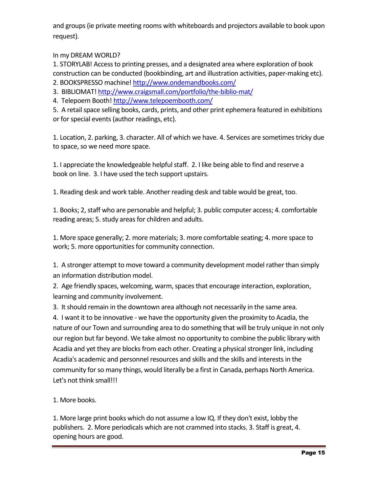and groups (ie private meeting rooms with whiteboards and projectors available to book upon request).

In my DREAM WORLD?

1. STORYLAB! Access to printing presses, and a designated area where exploration of book construction can be conducted (bookbinding, art and illustration activities, paper-making etc).

- 2. BOOKSPRESSO machine[! http://www.ondemandbooks.com/](http://www.ondemandbooks.com/)
- 3. BIBLIOMAT[! http://www.craigsmall.com/portfolio/the-biblio-mat/](http://www.craigsmall.com/portfolio/the-biblio-mat/)
- 4. Telepoem Booth[! http://www.telepoembooth.com/](http://www.telepoembooth.com/)

5. A retail space selling books, cards, prints, and other print ephemera featured in exhibitions or for special events (author readings, etc).

1. Location, 2. parking, 3. character. All of which we have. 4. Services are sometimes tricky due to space, so we need more space.

1. I appreciate the knowledgeable helpful staff. 2. I like being able to find and reserve a book on line. 3. I have used the tech support upstairs.

1. Reading desk and work table. Another reading desk and table would be great, too.

1. Books; 2, staff who are personable and helpful; 3. public computer access; 4. comfortable reading areas; 5. study areas for children and adults.

1. More space generally; 2. more materials; 3. more comfortable seating; 4. more space to work; 5. more opportunities for community connection.

1. A stronger attempt to move toward a community development model rather than simply an information distribution model.

2. Age friendly spaces, welcoming, warm, spaces that encourage interaction, exploration, learning and community involvement.

3. It should remain in the downtown area although not necessarily in the same area.

4. I want it to be innovative - we have the opportunity given the proximity to Acadia, the nature of our Town and surrounding area to do something that will be truly unique in not only our region but far beyond. We take almost no opportunity to combine the public library with Acadia and yet they are blocks from each other. Creating a physical stronger link, including Acadia's academic and personnel resources and skills and the skills and interests in the community for so many things, would literally be a first in Canada, perhaps North America. Let's not think small!!!

1. More books.

1. More large print books which do not assume a low IQ. If they don't exist, lobby the publishers. 2. More periodicals which are not crammed into stacks. 3. Staff is great, 4. opening hours are good.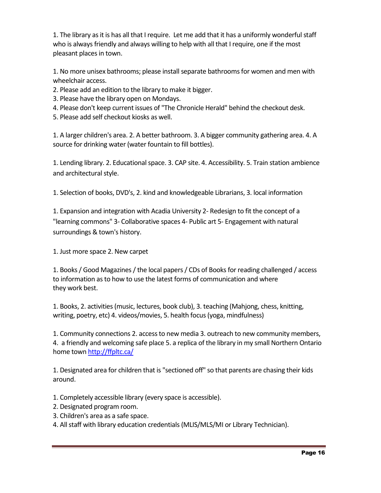1. The library as it is has all that I require. Let me add that it has a uniformly wonderfulstaff who is always friendly and always willing to help with all that I require, one if the most pleasant places in town.

1. No more unisex bathrooms; please install separate bathrooms for women and men with wheelchair access.

- 2. Please add an edition to the library to make it bigger.
- 3. Please have the library open on Mondays.
- 4. Please don't keep current issues of "The Chronicle Herald" behind the checkout desk.
- 5. Please add self checkout kiosks as well.

1. A larger children's area. 2. A better bathroom. 3. A bigger community gathering area. 4. A source for drinking water (water fountain to fill bottles).

1. Lending library. 2. Educational space. 3. CAP site. 4. Accessibility. 5. Train station ambience and architectural style.

1. Selection of books, DVD's, 2. kind and knowledgeable Librarians, 3. local information

1. Expansion and integration with Acadia University 2- Redesign to fit the concept of a "learning commons" 3- Collaborative spaces 4- Public art 5- Engagement with natural surroundings & town's history.

1. Just more space 2. New carpet

1. Books / Good Magazines / the local papers / CDs of Books for reading challenged / access to information as to how to use the latest forms of communication and where they work best.

1. Books, 2. activities (music, lectures, book club), 3. teaching (Mahjong, chess, knitting, writing, poetry, etc) 4. videos/movies, 5. health focus (yoga, mindfulness)

1. Community connections 2. access to new media 3. outreach to new community members, 4. a friendly and welcoming safe place 5. a replica of the library in my small Northern Ontario home tow[n http://ffpltc.ca/](http://ffpltc.ca/)

1. Designated area for children that is "sectioned off" so that parents are chasing their kids around.

- 1. Completely accessible library (every space is accessible).
- 2. Designated program room.
- 3. Children's area as a safe space.
- 4. All staff with library education credentials (MLIS/MLS/MI or Library Technician).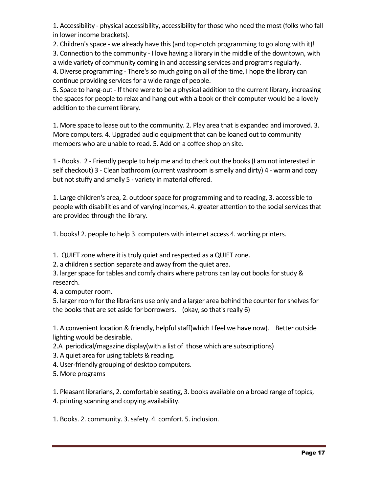1. Accessibility - physical accessibility, accessibility for those who need the most (folks who fall in lower income brackets).

2. Children's space - we already have this (and top-notch programming to go along with it)!

3. Connection to the community - I love having a library in the middle of the downtown, with a wide variety of community coming in and accessing services and programs regularly.

4. Diverse programming - There's so much going on all of the time, I hope the library can continue providing services for a wide range of people.

5. Space to hang-out - If there were to be a physical addition to the current library, increasing the spaces for people to relax and hang out with a book or their computer would be a lovely addition to the current library.

1. More space to lease out to the community. 2. Play area that is expanded and improved. 3. More computers. 4. Upgraded audio equipment that can be loaned out to community members who are unable to read. 5. Add on a coffee shop on site.

1 - Books. 2 - Friendly people to help me and to check out the books (I am not interested in self checkout) 3 - Clean bathroom (current washroom is smelly and dirty) 4 - warm and cozy but not stuffy and smelly 5 - variety in material offered.

1. Large children's area, 2. outdoor space for programming and to reading, 3. accessible to people with disabilities and of varying incomes, 4. greater attention to the social services that are provided through the library.

1. books! 2. people to help 3. computers with internet access 4. working printers.

1. QUIET zone where it is truly quiet and respected as a QUIET zone.

2. a children's section separate and away from the quiet area.

3. larger space for tables and comfy chairs where patrons can lay out books for study & research.

4. a computer room.

5. larger room for the librarians use only and a larger area behind the counter for shelves for the books that are set aside for borrowers. (okay, so that's really 6)

1. A convenient location & friendly, helpful staff(which I feel we have now). Better outside lighting would be desirable.

2.A periodical/magazine display(with a list of those which are subscriptions)

3. A quiet area for using tablets & reading.

4. User-friendly grouping of desktop computers.

5. More programs

1. Pleasant librarians, 2. comfortable seating, 3. books available on a broad range of topics, 4. printing scanning and copying availability.

1. Books. 2. community. 3. safety. 4. comfort. 5. inclusion.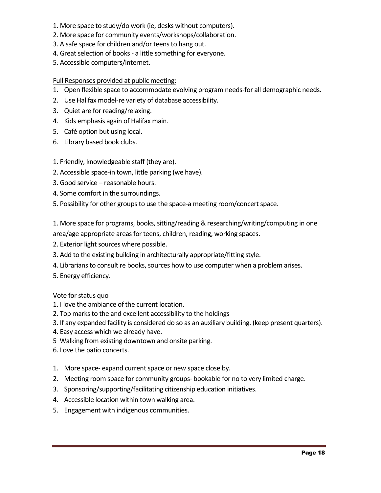- 1. More space to study/do work (ie, desks without computers).
- 2. More space for community events/workshops/collaboration.
- 3. A safe space for children and/or teens to hang out.
- 4. Great selection of books a little something for everyone.
- 5. Accessible computers/internet.

### Full Responses provided at public meeting:

- 1. Open flexible space to accommodate evolving program needs-for all demographic needs.
- 2. Use Halifax model-re variety of database accessibility.
- 3. Quiet are for reading/relaxing.
- 4. Kids emphasis again of Halifax main.
- 5. Café option but using local.
- 6. Library based book clubs.

### 1. Friendly, knowledgeable staff (they are).

- 2. Accessible space-in town, little parking (we have).
- 3. Good service reasonable hours.
- 4. Some comfort in the surroundings.
- 5. Possibility for other groups to use the space-a meeting room/concert space.

1. More space for programs, books, sitting/reading & researching/writing/computing in one area/age appropriate areas for teens, children, reading, working spaces.

- 2. Exterior light sources where possible.
- 3. Add to the existing building in architecturally appropriate/fitting style.
- 4. Librarians to consult re books, sources how to use computer when a problem arises.
- 5. Energy efficiency.

#### Vote for status quo

- 1. I love the ambiance of the current location.
- 2. Top marks to the and excellent accessibility to the holdings
- 3. If any expanded facility is considered do so as an auxiliary building. (keep present quarters).
- 4. Easy access which we already have.
- 5 Walking from existing downtown and onsite parking.
- 6. Love the patio concerts.
- 1. More space- expand current space or new space close by.
- 2. Meeting room space for community groups- bookable for no to very limited charge.
- 3. Sponsoring/supporting/facilitating citizenship education initiatives.
- 4. Accessible location within town walking area.
- 5. Engagement with indigenous communities.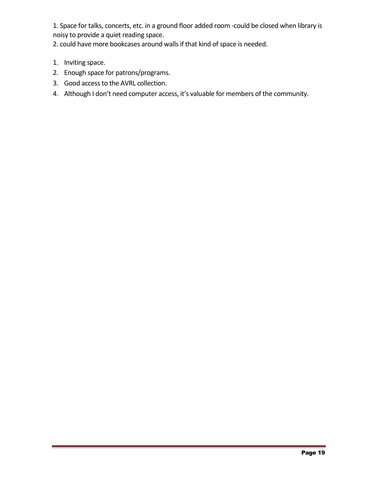1. Space for talks, concerts, etc. in a ground floor added room -could be closed when library is noisy to provide a quiet reading space.

2. could have more bookcases around walls if that kind of space is needed.

- 1. Inviting space.
- 2. Enough space for patrons/programs.
- 3. Good access to the AVRL collection.
- 4. Although I don't need computer access, it's valuable for members of the community.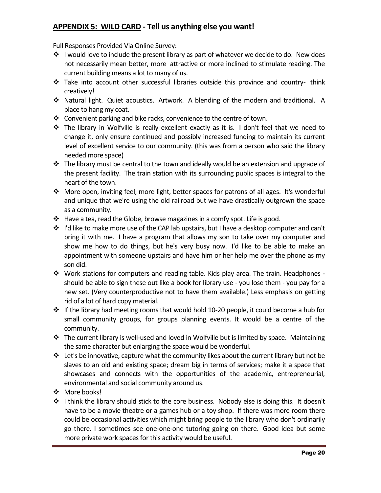# **APPENDIX 5: WILD CARD - Tell us anything else you want!**

- ❖ I would love to include the present library as part of whatever we decide to do. New does not necessarily mean better, more attractive or more inclined to stimulate reading. The current building means a lot to many of us.
- Take into account other successful libraries outside this province and country- think creatively!
- Natural light. Quiet acoustics. Artwork. A blending of the modern and traditional. A place to hang my coat.
- Convenient parking and bike racks, convenience to the centre of town.
- $\hat{\mathbf{v}}$  The library in Wolfville is really excellent exactly as it is. I don't feel that we need to change it, only ensure continued and possibly increased funding to maintain its current level of excellent service to our community. (this was from a person who said the library needed more space)
- $\cdot \cdot$  The library must be central to the town and ideally would be an extension and upgrade of the present facility. The train station with its surrounding public spaces is integral to the heart of the town.
- More open, inviting feel, more light, better spaces for patrons of all ages. It's wonderful and unique that we're using the old railroad but we have drastically outgrown the space as a community.
- \* Have a tea, read the Globe, browse magazines in a comfy spot. Life is good.
- $\cdot \cdot$  I'd like to make more use of the CAP lab upstairs, but I have a desktop computer and can't bring it with me. I have a program that allows my son to take over my computer and show me how to do things, but he's very busy now. I'd like to be able to make an appointment with someone upstairs and have him or her help me over the phone as my son did.
- \* Work stations for computers and reading table. Kids play area. The train. Headphones should be able to sign these out like a book for library use - you lose them - you pay for a new set. (Very counterproductive not to have them available.) Less emphasis on getting rid of a lot of hard copy material.
- $\cdot \cdot$  If the library had meeting rooms that would hold 10-20 people, it could become a hub for small community groups, for groups planning events. It would be a centre of the community.
- \* The current library is well-used and loved in Wolfville but is limited by space. Maintaining the same character but enlarging the space would be wonderful.
- Let's be innovative, capture what the community likes about the current library but not be slaves to an old and existing space; dream big in terms of services; make it a space that showcases and connects with the opportunities of the academic, entrepreneurial, environmental and social community around us.
- ❖ More books!
- $\div$  I think the library should stick to the core business. Nobody else is doing this. It doesn't have to be a movie theatre or a games hub or a toy shop. If there was more room there could be occasional activities which might bring people to the library who don't ordinarily go there. I sometimes see one-one-one tutoring going on there. Good idea but some more private work spaces for this activity would be useful.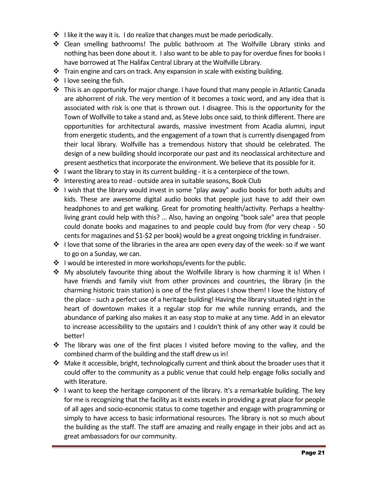- $\cdot$  I like it the way it is. I do realize that changes must be made periodically.
- Clean smelling bathrooms! The public bathroom at The Wolfville Library stinks and nothing has been done about it. I also want to be able to pay for overdue fines for books I have borrowed at The Halifax Central Library at the Wolfville Library.
- \* Train engine and cars on track. Any expansion in scale with existing building.
- $\cdot \cdot$  I love seeing the fish.
- $\cdot \cdot$  This is an opportunity for major change. I have found that many people in Atlantic Canada are abhorrent of risk. The very mention of it becomes a toxic word, and any idea that is associated with risk is one that is thrown out. I disagree. This is the opportunity for the Town of Wolfville to take a stand and, as Steve Jobs once said, to think different. There are opportunities for architectural awards, massive investment from Acadia alumni, input from energetic students, and the engagement of a town that is currently disengaged from their local library. Wolfville has a tremendous history that should be celebrated. The design of a new building should incorporate our past and its neoclassical architecture and present aesthetics that incorporate the environment. We believe that its possible for it.
- $\div$  I want the library to stay in its current building it is a centerpiece of the town.
- ❖ Interesting area to read outside area in suitable seasons, Book Club
- ❖ I wish that the library would invest in some "play away" audio books for both adults and kids. These are awesome digital audio books that people just have to add their own headphones to and get walking. Great for promoting health/activity. Perhaps a healthyliving grant could help with this? ... Also, having an ongoing "book sale" area that people could donate books and magazines to and people could buy from (for very cheap - 50 cents for magazines and \$1-\$2 per book) would be a great ongoing trickling in fundraiser.
- $\cdot$  I love that some of the libraries in the area are open every day of the week- so if we want to go on a Sunday, we can.
- $\cdot \cdot$  I would be interested in more workshops/events for the public.
- My absolutely favourite thing about the Wolfville library is how charming it is! When I have friends and family visit from other provinces and countries, the library (in the charming historic train station) is one of the first places I show them! I love the history of the place - such a perfect use of a heritage building! Having the library situated right in the heart of downtown makes it a regular stop for me while running errands, and the abundance of parking also makes it an easy stop to make at any time. Add in an elevator to increase accessibility to the upstairs and I couldn't think of any other way it could be better!
- $\div$  The library was one of the first places I visited before moving to the valley, and the combined charm of the building and the staff drew us in!
- Make it accessible, bright, technologically current and think about the broader uses that it could offer to the community as a public venue that could help engage folks socially and with literature.
- $\div$  I want to keep the heritage component of the library. It's a remarkable building. The key for me is recognizing that the facility as it exists excels in providing a great place for people of all ages and socio-economic status to come together and engage with programming or simply to have access to basic informational resources. The library is not so much about the building as the staff. The staff are amazing and really engage in their jobs and act as great ambassadors for our community.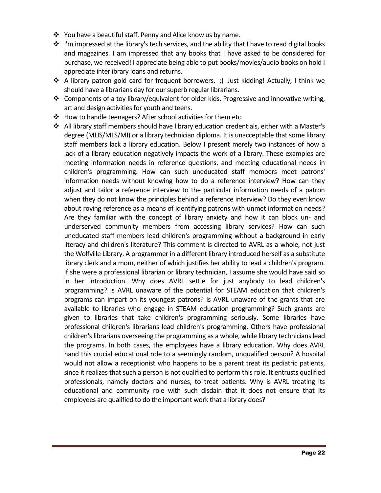- $\cdot$  You have a beautiful staff. Penny and Alice know us by name.
- $\div$  I'm impressed at the library's tech services, and the ability that I have to read digital books and magazines. I am impressed that any books that I have asked to be considered for purchase, we received! I appreciate being able to put books/movies/audio books on hold I appreciate interlibrary loans and returns.
- \* A library patron gold card for frequent borrowers. ;) Just kidding! Actually, I think we should have a librarians day for our superb regular librarians.
- Components of a toy library/equivalent for older kids. Progressive and innovative writing, art and design activities for youth and teens.
- ❖ How to handle teenagers? After school activities for them etc.
- All library staff members should have library education credentials, either with a Master's degree (MLIS/MLS/MI) or a library technician diploma. It is unacceptable that some library staff members lack a library education. Below I present merely two instances of how a lack of a library education negatively impacts the work of a library. These examples are meeting information needs in reference questions, and meeting educational needs in children's programming. How can such uneducated staff members meet patrons' information needs without knowing how to do a reference interview? How can they adjust and tailor a reference interview to the particular information needs of a patron when they do not know the principles behind a reference interview? Do they even know about roving reference as a means of identifying patrons with unmet information needs? Are they familiar with the concept of library anxiety and how it can block un- and underserved community members from accessing library services? How can such uneducated staff members lead children's programming without a background in early literacy and children's literature? This comment is directed to AVRL as a whole, not just the Wolfville Library. A programmer in a different library introduced herself as a substitute library clerk and a mom, neither of which justifies her ability to lead a children's program. If she were a professional librarian or library technician, I assume she would have said so in her introduction. Why does AVRL settle for just anybody to lead children's programming? Is AVRL unaware of the potential for STEAM education that children's programs can impart on its youngest patrons? Is AVRL unaware of the grants that are available to libraries who engage in STEAM education programming? Such grants are given to libraries that take children's programming seriously. Some libraries have professional children's librarians lead children's programming. Others have professional children's librarians overseeing the programming as a whole, while library technicians lead the programs. In both cases, the employees have a library education. Why does AVRL hand this crucial educational role to a seemingly random, unqualified person? A hospital would not allow a receptionist who happens to be a parent treat its pediatric patients, since it realizes that such a person is not qualified to perform this role. It entrusts qualified professionals, namely doctors and nurses, to treat patients. Why is AVRL treating its educational and community role with such disdain that it does not ensure that its employees are qualified to do the important work that a library does?